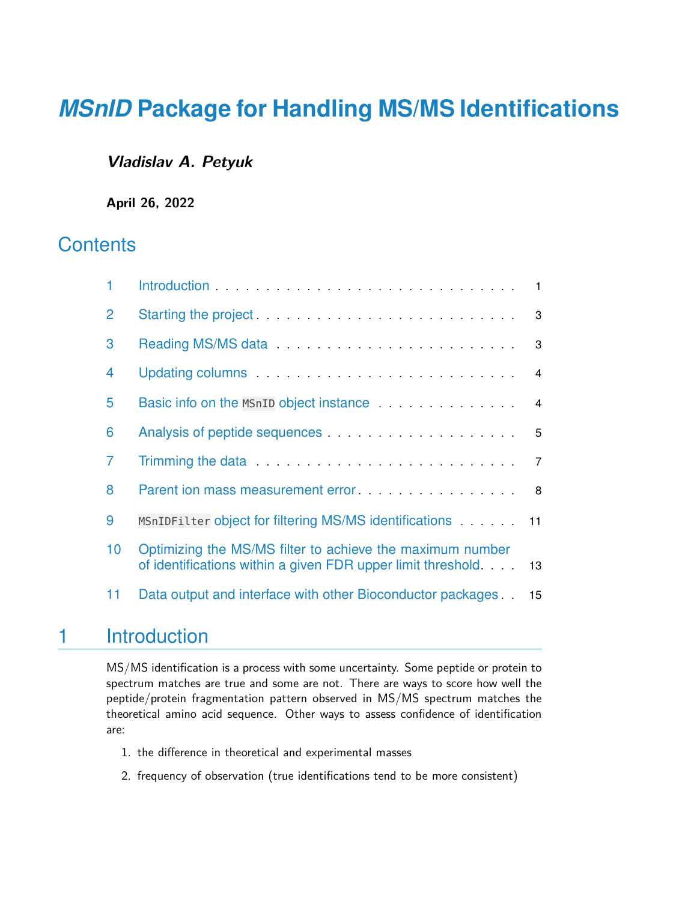### **Vladislav A. Petyuk**

**April 26, 2022**

### **Contents**

| 1              |                                                                                                                           | $\blacksquare$  |
|----------------|---------------------------------------------------------------------------------------------------------------------------|-----------------|
| $\overline{2}$ | Starting the project <b>Constant of the project</b> and construct the state of the starting the project of the state of   | 3               |
| 3              |                                                                                                                           | 3               |
| 4              |                                                                                                                           | $\overline{4}$  |
| 5              | Basic info on the MSnID object instance                                                                                   | $\overline{4}$  |
| 6              |                                                                                                                           | $5\phantom{.0}$ |
| $\overline{7}$ | Trimming the data <b>Container and September 2014</b>                                                                     | $\overline{7}$  |
| 8              |                                                                                                                           | 8               |
| 9              |                                                                                                                           |                 |
| 10             | Optimizing the MS/MS filter to achieve the maximum number<br>of identifications within a given FDR upper limit threshold. | 13              |
| 11             | Data output and interface with other Bioconductor packages                                                                | 15 <sub>1</sub> |

### <span id="page-0-0"></span>1 Introduction

MS/MS identification is a process with some uncertainty. Some peptide or protein to spectrum matches are true and some are not. There are ways to score how well the peptide/protein fragmentation pattern observed in MS/MS spectrum matches the theoretical amino acid sequence. Other ways to assess confidence of identification are:

- 1. the difference in theoretical and experimental masses
- 2. frequency of observation (true identifications tend to be more consistent)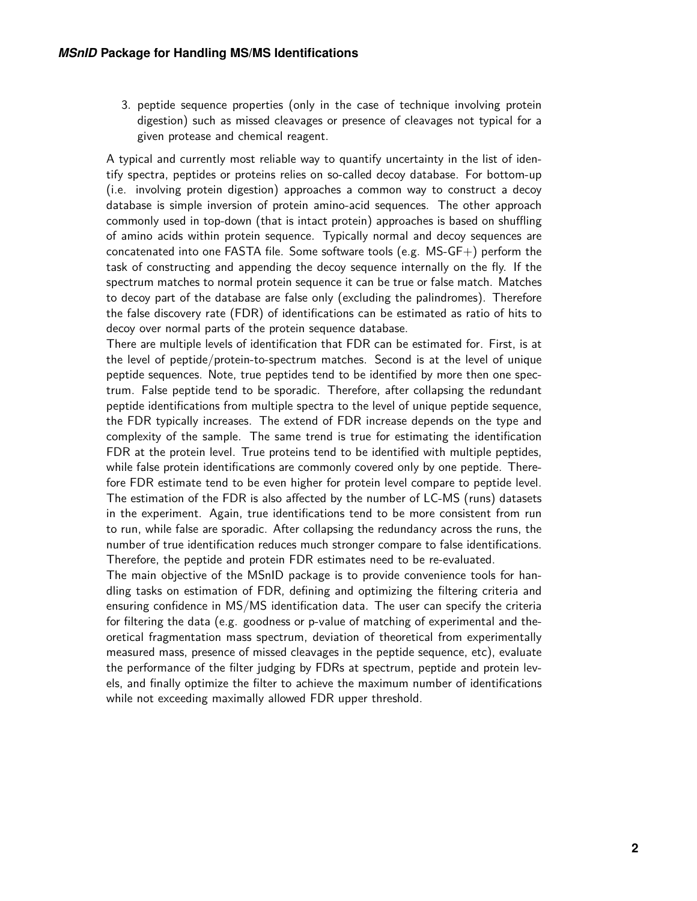3. peptide sequence properties (only in the case of technique involving protein digestion) such as missed cleavages or presence of cleavages not typical for a given protease and chemical reagent.

A typical and currently most reliable way to quantify uncertainty in the list of identify spectra, peptides or proteins relies on so-called decoy database. For bottom-up (i.e. involving protein digestion) approaches a common way to construct a decoy database is simple inversion of protein amino-acid sequences. The other approach commonly used in top-down (that is intact protein) approaches is based on shuffling of amino acids within protein sequence. Typically normal and decoy sequences are concatenated into one FASTA file. Some software tools (e.g. MS-GF+) perform the task of constructing and appending the decoy sequence internally on the fly. If the spectrum matches to normal protein sequence it can be true or false match. Matches to decoy part of the database are false only (excluding the palindromes). Therefore the false discovery rate (FDR) of identifications can be estimated as ratio of hits to decoy over normal parts of the protein sequence database.

There are multiple levels of identification that FDR can be estimated for. First, is at the level of peptide/protein-to-spectrum matches. Second is at the level of unique peptide sequences. Note, true peptides tend to be identified by more then one spectrum. False peptide tend to be sporadic. Therefore, after collapsing the redundant peptide identifications from multiple spectra to the level of unique peptide sequence, the FDR typically increases. The extend of FDR increase depends on the type and complexity of the sample. The same trend is true for estimating the identification FDR at the protein level. True proteins tend to be identified with multiple peptides, while false protein identifications are commonly covered only by one peptide. Therefore FDR estimate tend to be even higher for protein level compare to peptide level. The estimation of the FDR is also affected by the number of LC-MS (runs) datasets in the experiment. Again, true identifications tend to be more consistent from run to run, while false are sporadic. After collapsing the redundancy across the runs, the number of true identification reduces much stronger compare to false identifications. Therefore, the peptide and protein FDR estimates need to be re-evaluated.

<span id="page-1-0"></span>The main objective of the MSnID package is to provide convenience tools for handling tasks on estimation of FDR, defining and optimizing the filtering criteria and ensuring confidence in MS/MS identification data. The user can specify the criteria for filtering the data (e.g. goodness or p-value of matching of experimental and theoretical fragmentation mass spectrum, deviation of theoretical from experimentally measured mass, presence of missed cleavages in the peptide sequence, etc), evaluate the performance of the filter judging by FDRs at spectrum, peptide and protein levels, and finally optimize the filter to achieve the maximum number of identifications while not exceeding maximally allowed FDR upper threshold.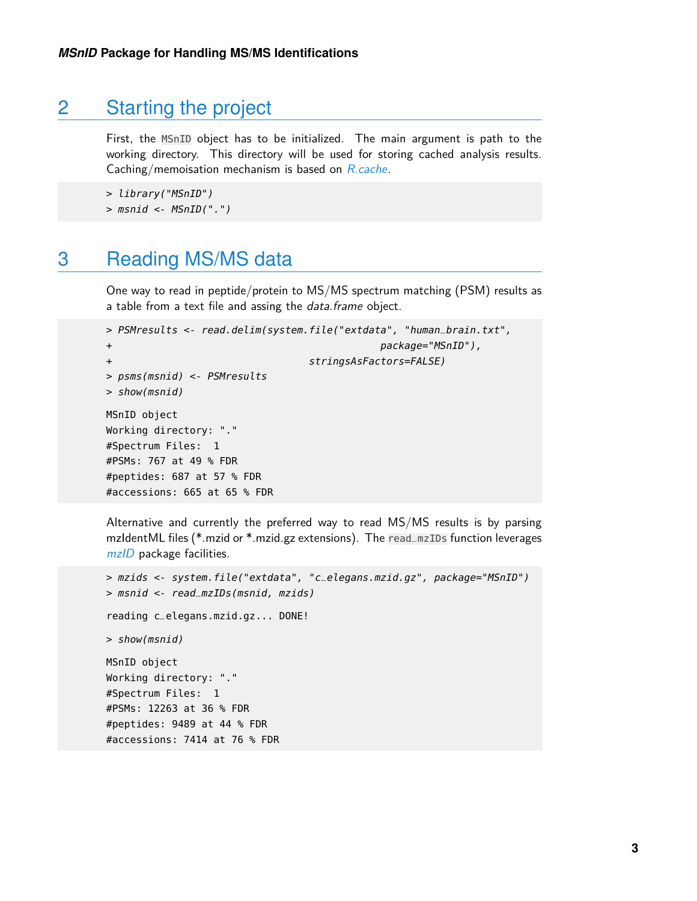### 2 Starting the project

First, the MSnID object has to be initialized. The main argument is path to the working directory. This directory will be used for storing cached analysis results. Caching/memoisation mechanism is based on [R.cache](https://CRAN.R-project.org/package=R.cache).

```
> library("MSnID")
```
<span id="page-2-0"></span>> msnid <- MSnID(".")

### 3 Reading MS/MS data

One way to read in peptide/protein to MS/MS spectrum matching (PSM) results as a table from a text file and assing the *data.frame* object.

```
> PSMresults <- read.delim(system.file("extdata", "human_brain.txt",
+ package="MSnID"),
+ stringsAsFactors=FALSE)
> psms(msnid) <- PSMresults
> show(msnid)
MSnID object
Working directory: "."
#Spectrum Files: 1
#PSMs: 767 at 49 % FDR
#peptides: 687 at 57 % FDR
#accessions: 665 at 65 % FDR
```
Alternative and currently the preferred way to read MS/MS results is by parsing mzIdentML files (\*.mzid or \*.mzid.gz extensions). The read\_mzIDs function leverages [mzID](http://bioconductor.org/packages/mzID) package facilities.

```
> mzids <- system.file("extdata", "c_elegans.mzid.gz", package="MSnID")
> msnid <- read_mzIDs(msnid, mzids)
reading c_elegans.mzid.gz... DONE!
> show(msnid)
MSnID object
Working directory: "."
#Spectrum Files: 1
#PSMs: 12263 at 36 % FDR
#peptides: 9489 at 44 % FDR
#accessions: 7414 at 76 % FDR
```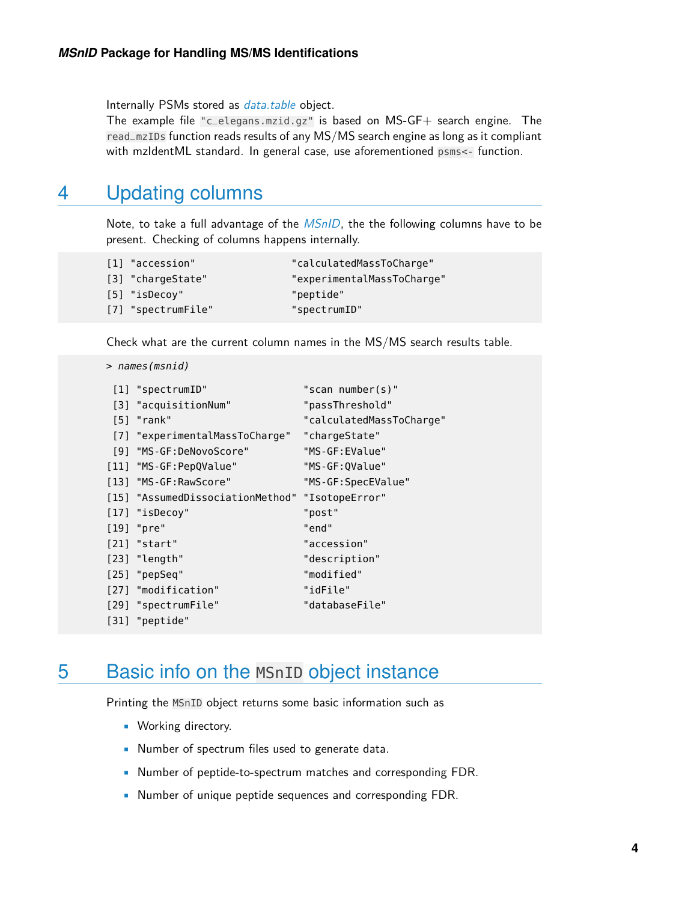Internally PSMs stored as *[data.table](https://CRAN.R-project.org/package=data.table)* object.

<span id="page-3-0"></span>The example file "c\_elegans.mzid.gz" is based on MS-GF+ search engine. The read\_mzIDs function reads results of any MS/MS search engine as long as it compliant with mzIdentML standard. In general case, use aforementioned psms<- function.

### 4 Updating columns

Note, to take a full advantage of the  $MSnID$ , the the following columns have to be present. Checking of columns happens internally.

| "calculatedMassToCharge"                                                    |
|-----------------------------------------------------------------------------|
| "experimentalMassToCharge"                                                  |
| "peptide"                                                                   |
| "spectrumID"                                                                |
| [1] "accession"<br>[3] "chargeState"<br>[5] "isDecoy"<br>[7] "spectrumFile" |

Check what are the current column names in the MS/MS search results table.

```
> names(msnid)
```

| [1] "spectrumID"                                | "scan number(s)"         |
|-------------------------------------------------|--------------------------|
| [3] "acquisitionNum"                            | "passThreshold"          |
| [5] "rank"                                      | "calculatedMassToCharge" |
| [7] "experimentalMassToCharge"                  | "chargeState"            |
| [9] "MS-GF:DeNovoScore"                         | "MS-GF:EValue"           |
| [11] "MS-GF:PepQValue"                          | "MS-GF:QValue"           |
| [13] "MS-GF:RawScore"                           | "MS-GF:SpecEValue"       |
| [15] "AssumedDissociationMethod" "IsotopeError" |                          |
| [17] "isDecoy"                                  | "post"                   |
| [19] "pre"                                      | "end"                    |
| $[21]$ "start"                                  | "accession"              |
| $[23]$ "length"                                 | "description"            |
| $[25]$ "pepSeq"                                 | "modified"               |
| [27] "modification"                             | "idFile"                 |
| [29] "spectrumFile"                             | "databaseFile"           |
| [31] "peptide"                                  |                          |

### <span id="page-3-1"></span>5 Basic info on the MSnID object instance

Printing the MSnID object returns some basic information such as

- Working directory.
- Number of spectrum files used to generate data.
- Number of peptide-to-spectrum matches and corresponding FDR.
- Number of unique peptide sequences and corresponding FDR.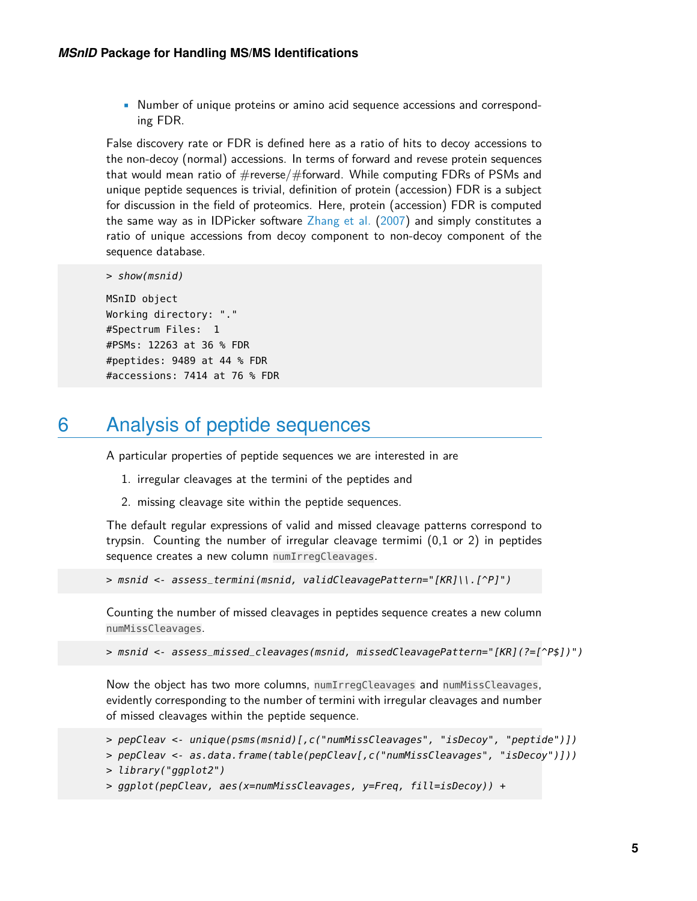• Number of unique proteins or amino acid sequence accessions and corresponding FDR.

False discovery rate or FDR is defined here as a ratio of hits to decoy accessions to the non-decoy (normal) accessions. In terms of forward and revese protein sequences that would mean ratio of  $\#$ reverse/ $\#$ forward. While computing FDRs of PSMs and unique peptide sequences is trivial, definition of protein (accession) FDR is a subject for discussion in the field of proteomics. Here, protein (accession) FDR is computed the same way as in IDPicker software [Zhang et al.](#page-17-0) [\(2007\)](#page-17-0) and simply constitutes a ratio of unique accessions from decoy component to non-decoy component of the sequence database.

```
> show(msnid)
```

```
MSnID object
Working directory: "."
#Spectrum Files: 1
#PSMs: 12263 at 36 % FDR
#peptides: 9489 at 44 % FDR
#accessions: 7414 at 76 % FDR
```
### <span id="page-4-0"></span>6 Analysis of peptide sequences

A particular properties of peptide sequences we are interested in are

- 1. irregular cleavages at the termini of the peptides and
- 2. missing cleavage site within the peptide sequences.

The default regular expressions of valid and missed cleavage patterns correspond to trypsin. Counting the number of irregular cleavage termimi (0,1 or 2) in peptides sequence creates a new column numIrregCleavages.

> msnid <- assess\_termini(msnid, validCleavagePattern="[KR]\\.[^P]")

Counting the number of missed cleavages in peptides sequence creates a new column numMissCleavages.

> msnid <- assess\_missed\_cleavages(msnid, missedCleavagePattern="[KR](?=[^P\$])")

Now the object has two more columns, numIrregCleavages and numMissCleavages, evidently corresponding to the number of termini with irregular cleavages and number of missed cleavages within the peptide sequence.

```
> pepCleav <- unique(psms(msnid)[,c("numMissCleavages", "isDecoy", "peptide")])
```

```
> pepCleav <- as.data.frame(table(pepCleav[,c("numMissCleavages", "isDecoy")]))
```

```
> library("ggplot2")
```
 $>$  ggplot(pepCleav, aes(x=numMissCleavages, y=Freq, fill=isDecoy)) +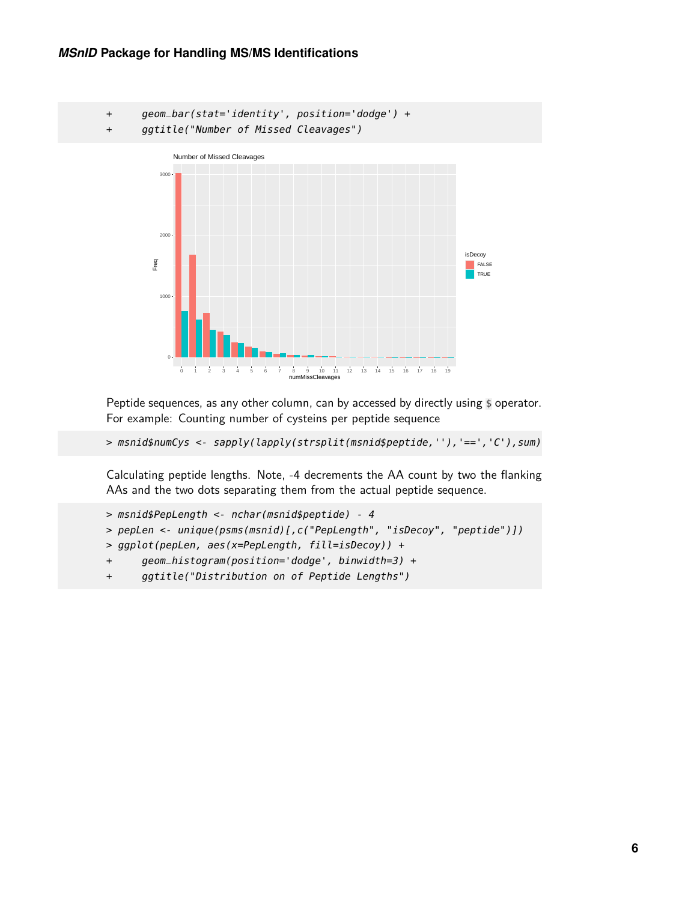+ geom\_bar(stat='identity', position='dodge') + + ggtitle("Number of Missed Cleavages") 1000 2000 300<sub>0</sub> 0 1 2 3 4 5 6 7 8 9 10 11 12 13 14 15 16 17 18 19 numMissCleavages Freq isDecoy **FALSE** TRUE Number of Missed Cleavages

Peptide sequences, as any other column, can by accessed by directly using \$ operator. For example: Counting number of cysteins per peptide sequence

```
> msnid$numCys <- sapply(lapply(strsplit(msnid$peptide,''),'==','C'),sum)
```
Calculating peptide lengths. Note, -4 decrements the AA count by two the flanking AAs and the two dots separating them from the actual peptide sequence.

```
> msnid$PepLength <- nchar(msnid$peptide) - 4
> pepLen <- unique(psms(msnid)[,c("PepLength", "isDecoy", "peptide")])
> ggplot(pepLen, aes(x=PepLength, fill=isDecoy)) +
+ geom_histogram(position='dodge', binwidth=3) +
```
+ ggtitle("Distribution on of Peptide Lengths")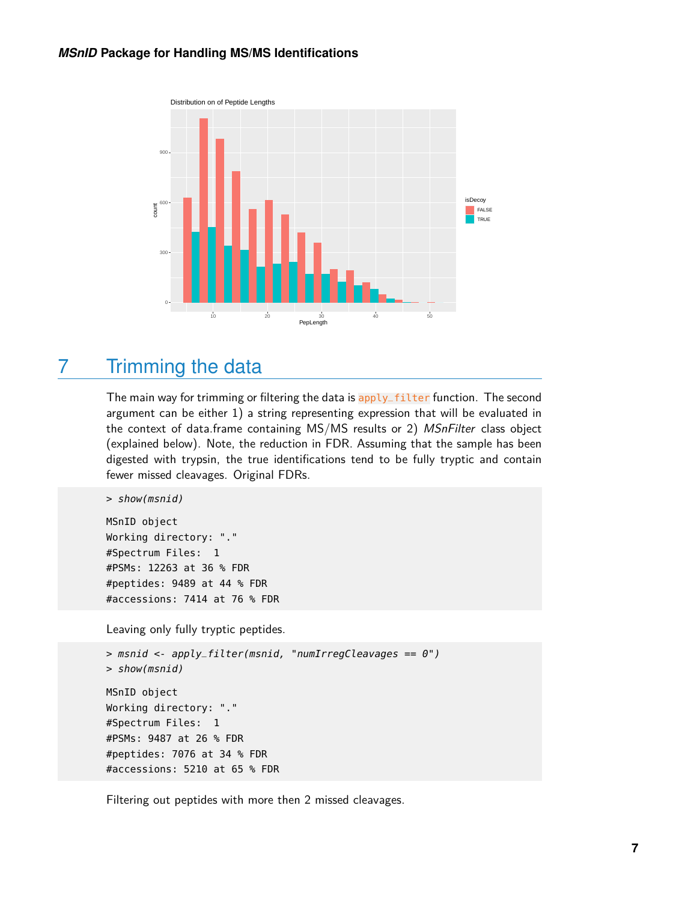

### <span id="page-6-0"></span>7 Trimming the data

The main way for trimming or filtering the data is apply\_filter function. The second argument can be either 1) a string representing expression that will be evaluated in the context of data.frame containing MS/MS results or 2) MSnFilter class object (explained below). Note, the reduction in FDR. Assuming that the sample has been digested with trypsin, the true identifications tend to be fully tryptic and contain fewer missed cleavages. Original FDRs.

```
> show(msnid)
```
MSnID object Working directory: "." #Spectrum Files: 1 #PSMs: 12263 at 36 % FDR #peptides: 9489 at 44 % FDR #accessions: 7414 at 76 % FDR

Leaving only fully tryptic peptides.

```
> msnid < -apply-filter(msnid, "numIrregClearavages == 0")> show(msnid)
MSnID object
Working directory: "."
#Spectrum Files: 1
#PSMs: 9487 at 26 % FDR
#peptides: 7076 at 34 % FDR
#accessions: 5210 at 65 % FDR
```
Filtering out peptides with more then 2 missed cleavages.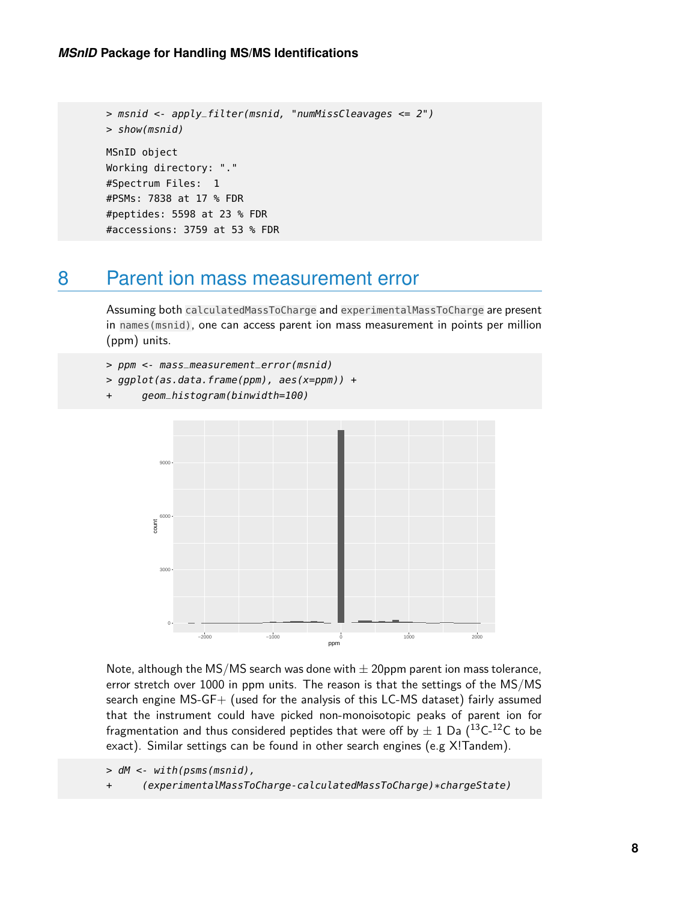```
> msnid <- apply_filter(msnid, "numMissCleavages <= 2")
> show(msnid)
MSnID object
Working directory: "."
#Spectrum Files: 1
#PSMs: 7838 at 17 % FDR
#peptides: 5598 at 23 % FDR
#accessions: 3759 at 53 % FDR
```
### <span id="page-7-0"></span>8 Parent ion mass measurement error

Assuming both calculatedMassToCharge and experimentalMassToCharge are present in names(msnid), one can access parent ion mass measurement in points per million (ppm) units.

```
> ppm <- mass_measurement_error(msnid)
```

```
> ggplot(as.data.frame(ppm), aes(x=ppm)) +
```

```
+ geom_histogram(binwidth=100)
```


Note, although the MS/MS search was done with  $\pm$  20ppm parent ion mass tolerance, error stretch over 1000 in ppm units. The reason is that the settings of the MS/MS search engine MS-GF+ (used for the analysis of this LC-MS dataset) fairly assumed that the instrument could have picked non-monoisotopic peaks of parent ion for fragmentation and thus considered peptides that were off by  $\pm$  1 Da (<sup>13</sup>C-<sup>12</sup>C to be exact). Similar settings can be found in other search engines (e.g X!Tandem).

```
> dM <- with(psms(msnid),
```
+ (experimentalMassToCharge-calculatedMassToCharge)\*chargeState)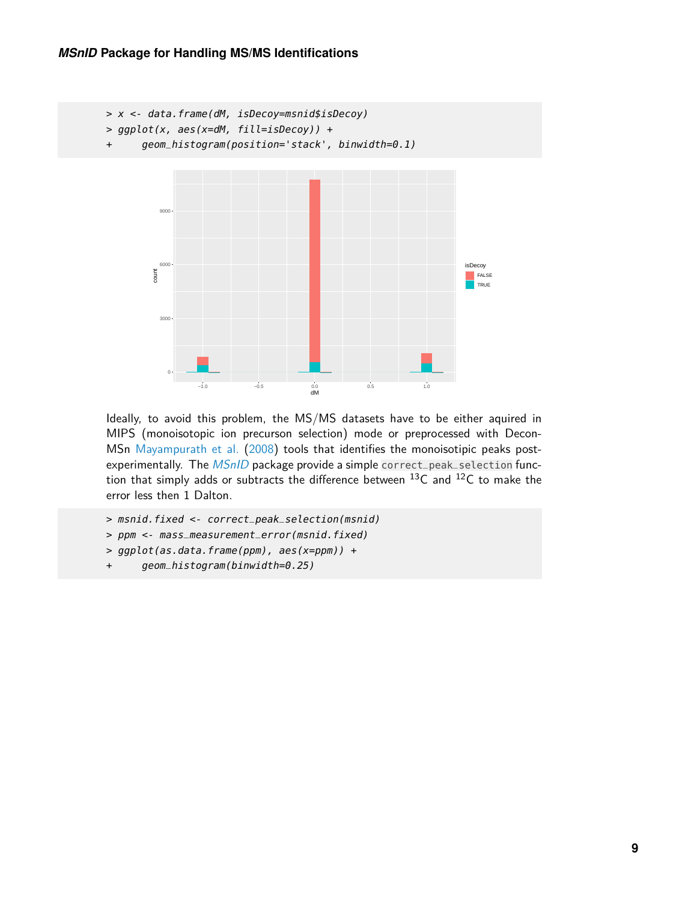```
> x <- data.frame(dM, isDecoy=msnid$isDecoy)
> ggplot(x, aes(x=dM, fill=isDecoy)) +
+ geom_histogram(position='stack', binwidth=0.1)
             0
           3000
           6000
           9000
                   −1.0 −0.5 0.0 0.5 1.0
                                         \frac{0.0}{dM}count
                                                                        isDecoy
                                                                          FALSE
                                                                         \overline{\phantom{a}} TRUE
```
Ideally, to avoid this problem, the MS/MS datasets have to be either aquired in MIPS (monoisotopic ion precurson selection) mode or preprocessed with Decon-MSn [Mayampurath et al.](#page-16-0) [\(2008\)](#page-16-0) tools that identifies the monoisotipic peaks postexperimentally. The *[MSnID](http://bioconductor.org/packages/MSnID)* package provide a simple correct\_peak\_selection function that simply adds or subtracts the difference between  $^{13}$ C and  $^{12}$ C to make the error less then 1 Dalton.

```
> msnid.fixed <- correct_peak_selection(msnid)
```

```
> ppm <- mass_measurement_error(msnid.fixed)
```
- > ggplot(as.data.frame(ppm), aes(x=ppm)) +
- + geom\_histogram(binwidth=0.25)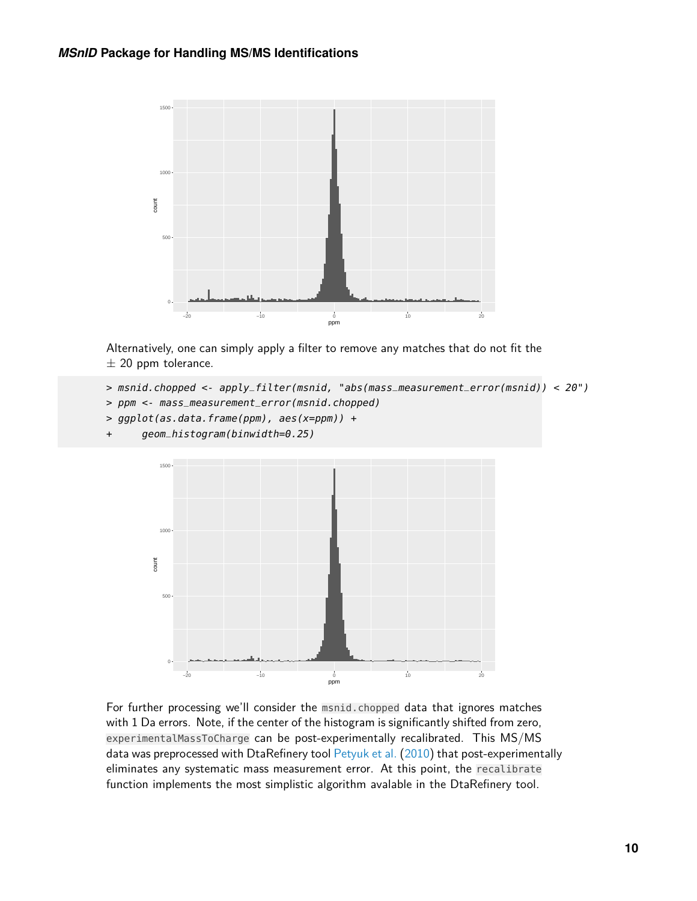

Alternatively, one can simply apply a filter to remove any matches that do not fit the  $\pm$  20 ppm tolerance.

```
> msnid.chopped <- apply_filter(msnid, "abs(mass_measurement_error(msnid)) < 20")
```
- > ppm <- mass\_measurement\_error(msnid.chopped)
- > ggplot(as.data.frame(ppm), aes(x=ppm)) +
- + geom\_histogram(binwidth=0.25)



For further processing we'll consider the msnid.chopped data that ignores matches with 1 Da errors. Note, if the center of the histogram is significantly shifted from zero, experimentalMassToCharge can be post-experimentally recalibrated. This MS/MS data was preprocessed with DtaRefinery tool [Petyuk et al.](#page-16-1) [\(2010\)](#page-16-1) that post-experimentally eliminates any systematic mass measurement error. At this point, the recalibrate function implements the most simplistic algorithm avalable in the DtaRefinery tool.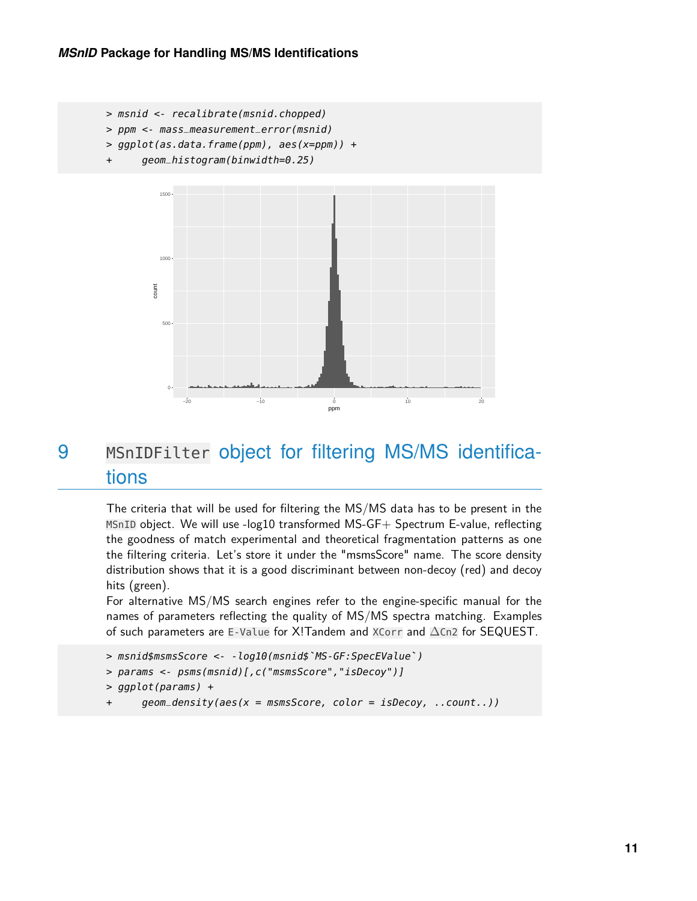

- > ppm <- mass\_measurement\_error(msnid)
- $> ggplot(as.data.frame(ppm), aes(x=ppm)) +$
- + geom\_histogram(binwidth=0.25)



### <span id="page-10-0"></span>9 MSnIDFilter object for filtering MS/MS identifications

The criteria that will be used for filtering the MS/MS data has to be present in the MSnID object. We will use -log10 transformed MS-GF+ Spectrum E-value, reflecting the goodness of match experimental and theoretical fragmentation patterns as one the filtering criteria. Let's store it under the "msmsScore" name. The score density distribution shows that it is a good discriminant between non-decoy (red) and decoy hits (green).

For alternative MS/MS search engines refer to the engine-specific manual for the names of parameters reflecting the quality of MS/MS spectra matching. Examples<br>of such parameters are E-Value for X!Tandem and XCorr and  $\Delta$ Cn2 for SEQUEST.<br>> msnid\$msmsScore <- -log10(msnid\$`MS-GF:SpecEValue`) of such parameters are E-Value for X!Tandem and XCorr and ∆Cn2 for SEQUEST.

- > params <- psms(msnid)[,c("msmsScore","isDecoy")]
- > ggplot(params) +
- + geom\_density(aes(x = msmsScore, color = isDecoy, ..count..))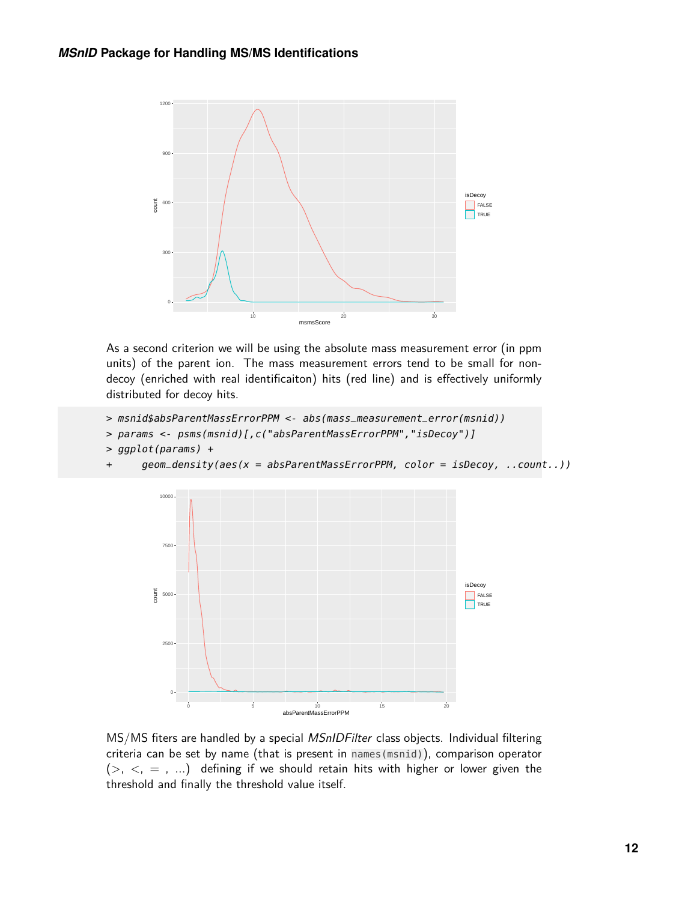

As a second criterion we will be using the absolute mass measurement error (in ppm units) of the parent ion. The mass measurement errors tend to be small for nondecoy (enriched with real identificaiton) hits (red line) and is effectively uniformly distributed for decoy hits.

```
> msnid$absParentMassErrorPPM <- abs(mass_measurement_error(msnid))
```
> params <- psms(msnid)[,c("absParentMassErrorPPM","isDecoy")]

```
> ggplot(params) +
```
+ geom\_density(aes(x = absParentMassErrorPPM, color = isDecoy, ..count..))



MS/MS fiters are handled by a special MSnIDFilter class objects. Individual filtering criteria can be set by name (that is present in names(msnid)), comparison operator  $(>, <, =, ...$ ) defining if we should retain hits with higher or lower given the threshold and finally the threshold value itself.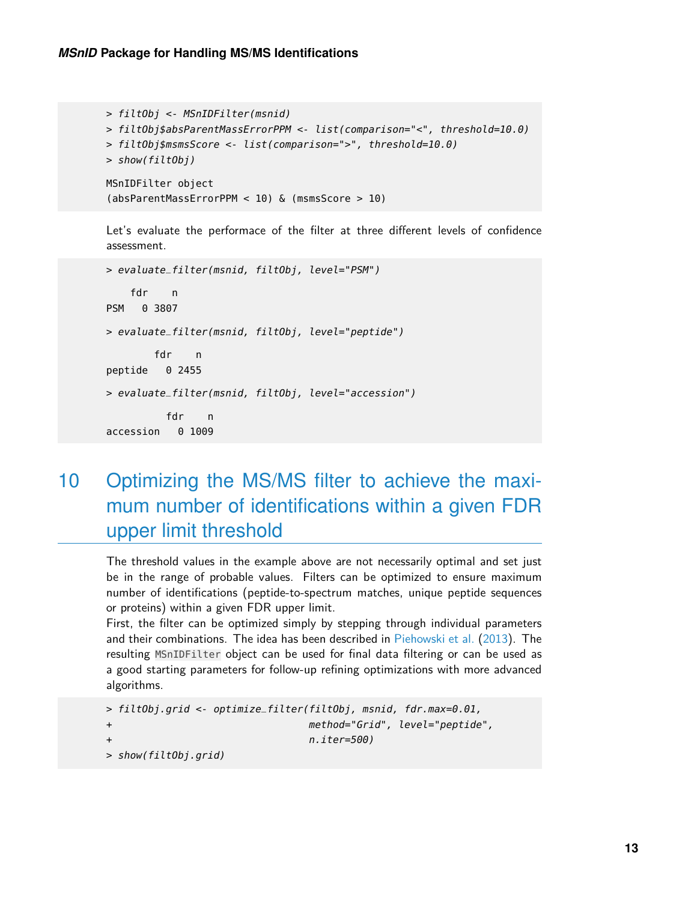```
> filtObj <- MSnIDFilter(msnid)
> filtObj$absParentMassErrorPPM <- list(comparison="<", threshold=10.0)
> filtObj$msmsScore <- list(comparison=">", threshold=10.0)
> show(filtObj)
MSnIDFilter object
(absParentMassErrorPPM < 10) & (msmsScore > 10)
```
Let's evaluate the performace of the filter at three different levels of confidence assessment.

```
> evaluate_filter(msnid, filtObj, level="PSM")
    fdr n
PSM 0 3807
> evaluate_filter(msnid, filtObj, level="peptide")
       fdr n
peptide 0 2455
> evaluate_filter(msnid, filtObj, level="accession")
         fdr n
accession 0 1009
```
<span id="page-12-0"></span>10 Optimizing the MS/MS filter to achieve the maximum number of identifications within a given FDR upper limit threshold

The threshold values in the example above are not necessarily optimal and set just be in the range of probable values. Filters can be optimized to ensure maximum number of identifications (peptide-to-spectrum matches, unique peptide sequences or proteins) within a given FDR upper limit.

First, the filter can be optimized simply by stepping through individual parameters and their combinations. The idea has been described in [Piehowski et al.](#page-16-2) [\(2013\)](#page-16-2). The resulting MSnIDFilter object can be used for final data filtering or can be used as a good starting parameters for follow-up refining optimizations with more advanced algorithms.

```
> filtObj.grid <- optimize_filter(filtObj, msnid, fdr.max=0.01,
+ method="Grid", level="peptide",
+ n.iter=500)
> show(filtObj.grid)
```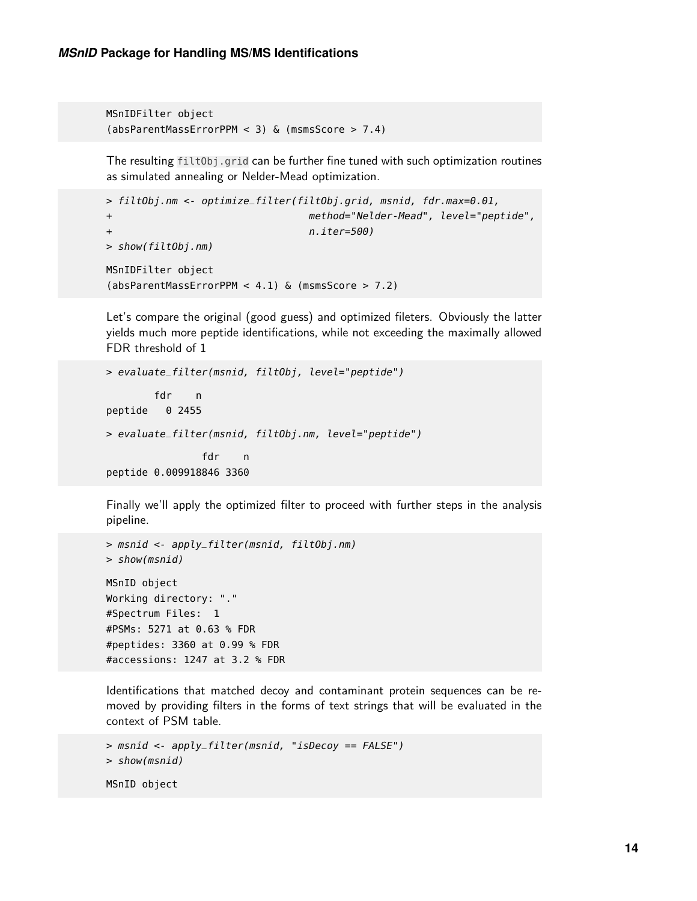```
MSnIDFilter object
(absParentMassErrorPPM < 3) & (msmsScore > 7.4)
```
The resulting filtObj.grid can be further fine tuned with such optimization routines as simulated annealing or Nelder-Mead optimization.

```
> filtObj.nm <- optimize_filter(filtObj.grid, msnid, fdr.max=0.01,
+ method="Nelder-Mead", level="peptide",
+ n.iter=500)
> show(filtObj.nm)
MSnIDFilter object
(absParentMassErrorPPM < 4.1) & (msmsScore > 7.2)
```
Let's compare the original (good guess) and optimized fileters. Obviously the latter yields much more peptide identifications, while not exceeding the maximally allowed FDR threshold of 1

```
> evaluate_filter(msnid, filtObj, level="peptide")
       fdr n
peptide 0 2455
> evaluate_filter(msnid, filtObj.nm, level="peptide")
               fdr n
peptide 0.009918846 3360
```
Finally we'll apply the optimized filter to proceed with further steps in the analysis pipeline.

```
> msnid <- apply_filter(msnid, filtObj.nm)
> show(msnid)
MSnID object
Working directory: "."
#Spectrum Files: 1
#PSMs: 5271 at 0.63 % FDR
#peptides: 3360 at 0.99 % FDR
#accessions: 1247 at 3.2 % FDR
```
Identifications that matched decoy and contaminant protein sequences can be removed by providing filters in the forms of text strings that will be evaluated in the context of PSM table.

```
> msnid <- apply_filter(msnid, "isDecoy == FALSE")
> show(msnid)
MSnID object
```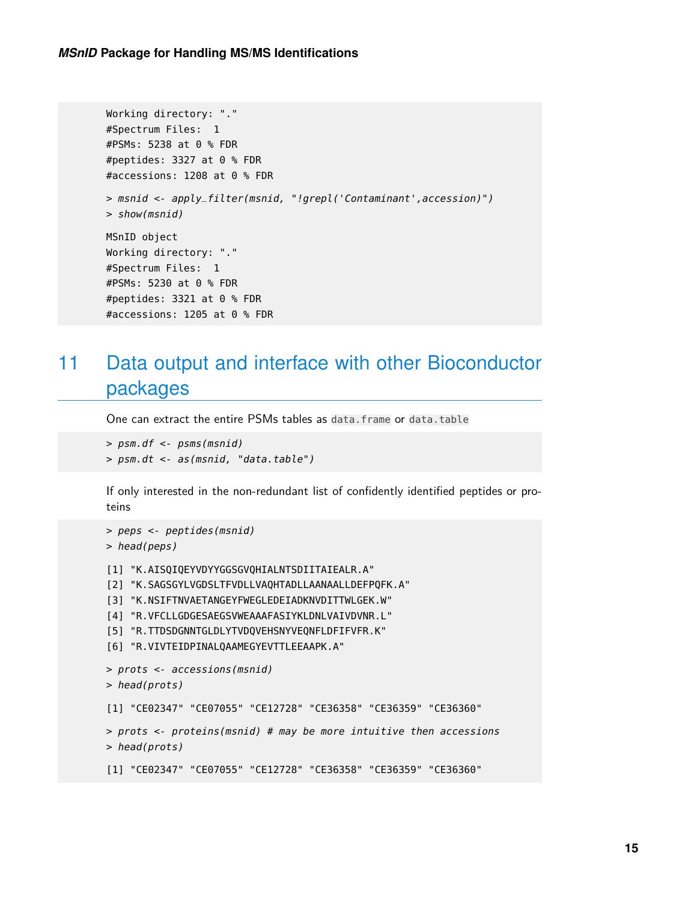```
Working directory: "."
#Spectrum Files: 1
#PSMs: 5238 at 0 % FDR
#peptides: 3327 at 0 % FDR
#accessions: 1208 at 0 % FDR
> msnid <- apply_filter(msnid, "!grepl('Contaminant',accession)")
> show(msnid)
MSnID object
Working directory: "."
#Spectrum Files: 1
#PSMs: 5230 at 0 % FDR
#peptides: 3321 at 0 % FDR
#accessions: 1205 at 0 % FDR
```
## <span id="page-14-0"></span>11 Data output and interface with other Bioconductor packages

One can extract the entire PSMs tables as data.frame or data.table

```
> psm.df <- psms(msnid)
> psm.dt <- as(msnid, "data.table")
```
If only interested in the non-redundant list of confidently identified peptides or proteins

```
> peps <- peptides(msnid)
> head(peps)
[1] "K.AISQIQEYVDYYGGSGVQHIALNTSDIITAIEALR.A"
[2] "K.SAGSGYLVGDSLTFVDLLVAQHTADLLAANAALLDEFPQFK.A"
[3] "K.NSIFTNVAETANGEYFWEGLEDEIADKNVDITTWLGEK.W"
[4] "R.VFCLLGDGESAEGSVWEAAAFASIYKLDNLVAIVDVNR.L"
[5] "R.TTDSDGNNTGLDLYTVDQVEHSNYVEQNFLDFIFVFR.K"
[6] "R.VIVTEIDPINALQAAMEGYEVTTLEEAAPK.A"
> prots <- accessions(msnid)
> head(prots)
[1] "CE02347" "CE07055" "CE12728" "CE36358" "CE36359" "CE36360"
> prots <- proteins(msnid) # may be more intuitive then accessions
> head(prots)
[1] "CE02347" "CE07055" "CE12728" "CE36358" "CE36359" "CE36360"
```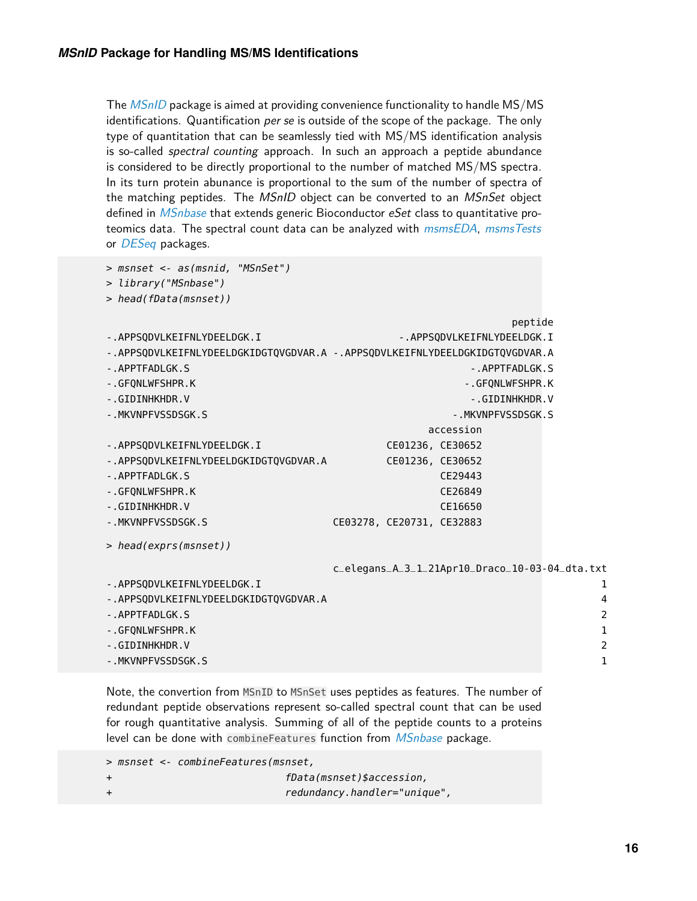The [MSnID](http://bioconductor.org/packages/MSnID) package is aimed at providing convenience functionality to handle MS/MS identifications. Quantification per se is outside of the scope of the package. The only type of quantitation that can be seamlessly tied with MS/MS identification analysis is so-called *spectral counting* approach. In such an approach a peptide abundance is considered to be directly proportional to the number of matched MS/MS spectra. In its turn protein abunance is proportional to the sum of the number of spectra of the matching peptides. The MSnID object can be converted to an MSnSet object defined in *[MSnbase](http://bioconductor.org/packages/MSnbase)* that extends generic Bioconductor eSet class to quantitative proteomics data. The spectral count data can be analyzed with [msmsEDA](http://bioconductor.org/packages/msmsEDA), [msmsTests](http://bioconductor.org/packages/msmsTests) or *[DESeq](http://bioconductor.org/packages/DESeq)* packages.

```
> msnset <- as(msnid, "MSnSet")
```

```
> library("MSnbase")
```

```
> head(fData(msnset))
```
peptide

```
-.APPSQDVLKEIFNLYDEELDGK.I - - - - - APPSQDVLKEIFNLYDEELDGK.I
```
-.APPSQDVLKEIFNLYDEELDGKIDGTQVGDVAR.A -.APPSQDVLKEIFNLYDEELDGKIDGTQVGDVAR.A

```
-.APPTFADLGK.S -.APPTFADLGK.S
```
- -.GFQNLWFSHPR.K -.GFQNLWFSHPR.K
- 
- -.GIDINHKHDR.V -.GIDINHKHDR.V
- -.MKVNPFVSSDSGK.S -.MKVNPFVSSDSGK.S accession

| - . APPSODVLKEIFNLYDEELDGK.I           | CE01236, CE30652          |         |  |
|----------------------------------------|---------------------------|---------|--|
| -. APPSQDVLKEIFNLYDEELDGKIDGTQVGDVAR.A | CE01236, CE30652          |         |  |
| -. APPTFADLGK.S                        |                           | CE29443 |  |
| -.GFONLWFSHPR.K                        |                           | CE26849 |  |
| -.GIDINHKHDR.V                         |                           | CE16650 |  |
| -.MKVNPFVSSDSGK.S                      | CE03278, CE20731, CE32883 |         |  |
|                                        |                           |         |  |

> head(exprs(msnset))

c\_elegans\_A\_3\_1\_21Apr10\_Draco\_10-03-04\_dta.txt

| -.APPSQDVLKEIFNLYDEELDGK.I            |               |
|---------------------------------------|---------------|
| -.APPSQDVLKEIFNLYDEELDGKIDGTQVGDVAR.A | 4             |
| -.APPTFADLGK.S                        | $\mathcal{P}$ |
| -.GFONLWFSHPR.K                       |               |
| -.GIDINHKHDR.V                        | $\mathcal{P}$ |
| -.MKVNPFVSSDSGK.S                     |               |

Note, the convertion from MSnID to MSnSet uses peptides as features. The number of redundant peptide observations represent so-called spectral count that can be used for rough quantitative analysis. Summing of all of the peptide counts to a proteins level can be done with combineFeatures function from *[MSnbase](http://bioconductor.org/packages/MSnbase)* package.

```
> msnset <- combineFeatures(msnset,
+ fData(msnset)$accession,
```
+ redundancy.handler="unique",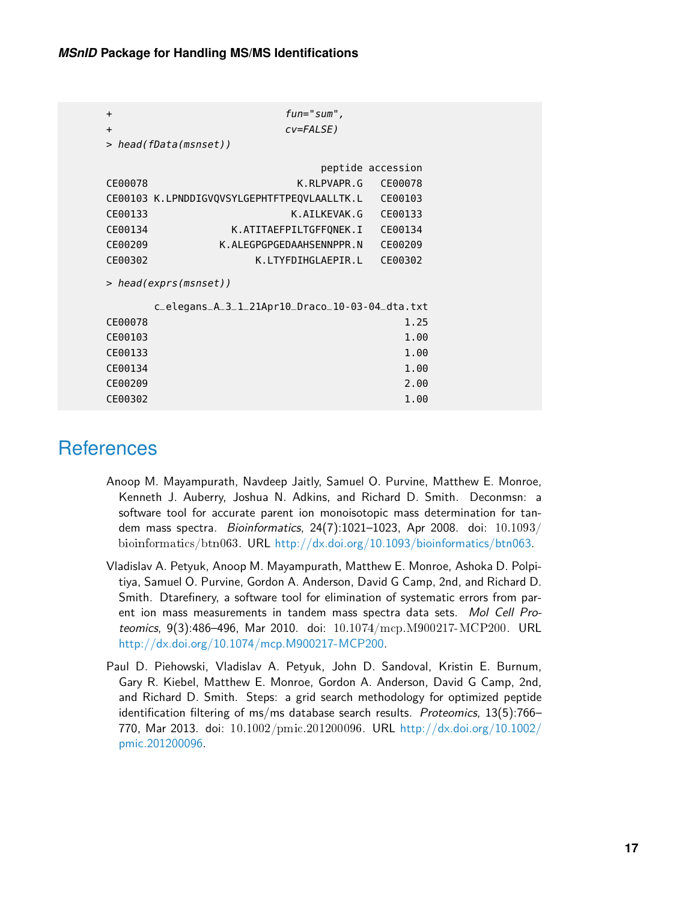| $\ddot{}$             | $fun="sum"$                                    |                   |  |
|-----------------------|------------------------------------------------|-------------------|--|
| $\ddot{}$             | cv=FALSE)                                      |                   |  |
|                       | > head(fData(msnset))                          |                   |  |
|                       |                                                | peptide accession |  |
| CE00078               | K.RLPVAPR.G                                    | CE00078           |  |
|                       | CE00103 K.LPNDDIGVQVSYLGEPHTFTPEQVLAALLTK.L    | CE00103           |  |
| CE00133               | K.AILKEVAK.G                                   | CE00133           |  |
| CE00134               | K.ATITAEFPILTGFFQNEK.I                         | CE00134           |  |
| CE00209               | K.ALEGPGPGEDAAHSENNPPR.N                       | CE00209           |  |
| CE00302               | K.LTYFDIHGLAEPIR.L                             | CE00302           |  |
| > head(exprs(msnset)) |                                                |                   |  |
|                       |                                                |                   |  |
|                       | c_elegans_A_3_1_21Apr10_Draco_10-03-04_dta.txt |                   |  |
| CE00078               |                                                | 1.25              |  |
| CE00103               |                                                | 1.00              |  |
| CE00133               |                                                | 1.00              |  |
| CE00134               |                                                | 1.00              |  |
| CE00209               |                                                | 2.00              |  |
| CE00302               |                                                | 1.00              |  |

### **References**

- <span id="page-16-0"></span>Anoop M. Mayampurath, Navdeep Jaitly, Samuel O. Purvine, Matthew E. Monroe, Kenneth J. Auberry, Joshua N. Adkins, and Richard D. Smith. Deconmsn: a software tool for accurate parent ion monoisotopic mass determination for tandem mass spectra. Bioinformatics,  $24(7):1021-1023$ , Apr 2008. doi:  $10.1093/$ bioinformatics/btn063. URL [http://dx.doi.org/10.1093/bioinformatics/btn063.](http://dx.doi.org/10.1093/bioinformatics/btn063)
- <span id="page-16-1"></span>Vladislav A. Petyuk, Anoop M. Mayampurath, Matthew E. Monroe, Ashoka D. Polpitiya, Samuel O. Purvine, Gordon A. Anderson, David G Camp, 2nd, and Richard D. Smith. Dtarefinery, a software tool for elimination of systematic errors from parent ion mass measurements in tandem mass spectra data sets. Mol Cell Proteomics, 9(3):486–496, Mar 2010. doi: 10.1074/mcp.M900217-MCP200. URL [http://dx.doi.org/10.1074/mcp.M900217-MCP200.](http://dx.doi.org/10.1074/mcp.M900217-MCP200)
- <span id="page-16-2"></span>Paul D. Piehowski, Vladislav A. Petyuk, John D. Sandoval, Kristin E. Burnum, Gary R. Kiebel, Matthew E. Monroe, Gordon A. Anderson, David G Camp, 2nd, and Richard D. Smith. Steps: a grid search methodology for optimized peptide identification filtering of ms/ms database search results. Proteomics, 13(5):766-770, Mar 2013. doi: 10.1002/pmic.201200096. URL [http://dx.doi.org/10.1002/](http://dx.doi.org/10.1002/pmic.201200096) [pmic.201200096.](http://dx.doi.org/10.1002/pmic.201200096)